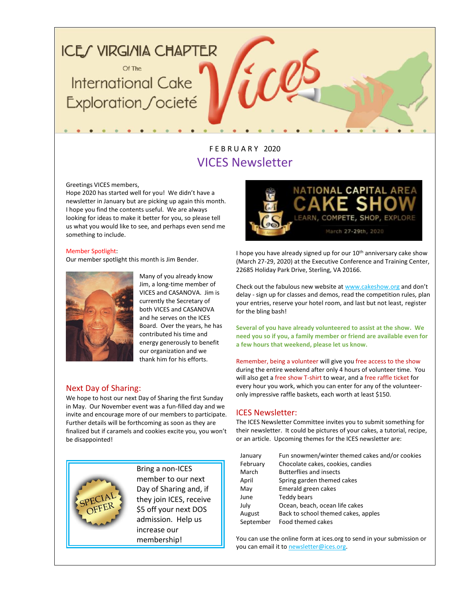## **ICE/ VIRGI/IIA CHAPTER**

Of The **International Cake** Exploration Societé

### F E B R U A R Y 2020 VICES Newsletter

#### Greetings VICES members,

Hope 2020 has started well for you! We didn't have a newsletter in January but are picking up again this month. I hope you find the contents useful. We are always looking for ideas to make it better for you, so please tell us what you would like to see, and perhaps even send me something to include.

#### Member Spotlight:

Our member spotlight this month is Jim Bender.



Many of you already know Jim, a long-time member of VICES and CASANOVA. Jim is currently the Secretary of both VICES and CASANOVA and he serves on the ICES Board. Over the years, he has contributed his time and energy generously to benefit our organization and we thank him for his efforts.

#### Next Day of Sharing:

We hope to host our next Day of Sharing the first Sunday in May. Our November event was a fun-filled day and we invite and encourage more of our members to participate. Further details will be forthcoming as soon as they are finalized but if caramels and cookies excite you, you won't be disappointed!



Bring a non-ICES member to our next Day of Sharing and, if they join ICES, receive \$5 off your next DOS admission. Help us increase our membership!



I hope you have already signed up for our 10<sup>th</sup> anniversary cake show (March 27-29, 2020) at the Executive Conference and Training Center, 22685 Holiday Park Drive, Sterling, VA 20166.

Check out the fabulous new website a[t www.cakeshow.org](http://www.cakeshow.org/) and don't delay - sign up for classes and demos, read the competition rules, plan your entries, reserve your hotel room, and last but not least, register for the bling bash!

**Several of you have already volunteered to assist at the show. We need you so if you, a family member or friend are available even for a few hours that weekend, please let us know.** 

Remember, being a volunteer will give you free access to the show during the entire weekend after only 4 hours of volunteer time. You will also get a free show T-shirt to wear, and a free raffle ticket for every hour you work, which you can enter for any of the volunteeronly impressive raffle baskets, each worth at least \$150.

#### ICES Newsletter:

The ICES Newsletter Committee invites you to submit something for their newsletter. It could be pictures of your cakes, a tutorial, recipe, or an article. Upcoming themes for the ICES newsletter are:

| January   | Fun snowmen/winter themed cakes and/or cookies |
|-----------|------------------------------------------------|
| February  | Chocolate cakes, cookies, candies              |
| March     | <b>Butterflies and insects</b>                 |
| April     | Spring garden themed cakes                     |
| May       | Emerald green cakes                            |
| June      | Teddy bears                                    |
| July      | Ocean, beach, ocean life cakes                 |
| August    | Back to school themed cakes, apples            |
| September | Food themed cakes                              |

You can use the online form at ices.org to send in your submission or you can email it to [newsletter@ices.org.](mailto:newsletter@ices.org)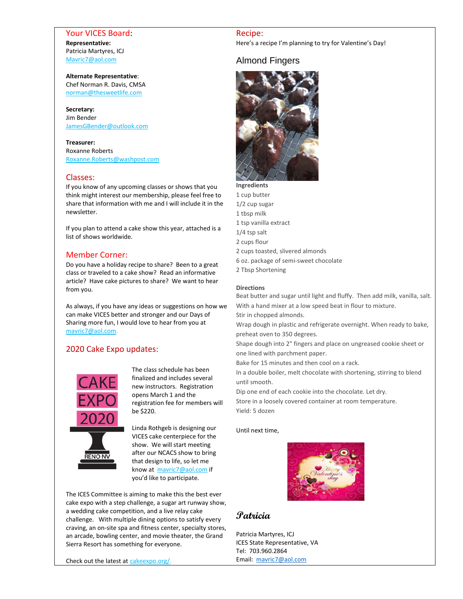#### Your VICES Board: **Representative:** Patricia Martyres, ICJ [Mavric7@aol.com](mailto:Mavric7@aol.com)

#### **Alternate Representative**: Chef Norman R. Davis, CMSA

[norman@thesweetlife.com](mailto:norman@thesweetlife.com)

#### **Secretary:** Jim Bender [JamesGBender@outlook.com](mailto:JamesGBender@outlook.com)

#### **Treasurer:**

Roxanne Roberts [Roxanne.Roberts@washpost.com](mailto:Roxanne.Roberts@washpost.com)

#### Classes:

If you know of any upcoming classes or shows that you think might interest our membership, please feel free to share that information with me and I will include it in the newsletter.

If you plan to attend a cake show this year, attached is a list of shows worldwide.

#### Member Corner:

Do you have a holiday recipe to share? Been to a great class or traveled to a cake show? Read an informative article? Have cake pictures to share? We want to hear from you.

As always, if you have any ideas or suggestions on how we can make VICES better and stronger and our Days of Sharing more fun, I would love to hear from you at [mavric7@aol.com.](mailto:mavric7@aol.com)

#### 2020 Cake Expo updates:



The class schedule has been finalized and includes several new instructors. Registration opens March 1 and the registration fee for members will be \$220.

Linda Rothgeb is designing our VICES cake centerpiece for the show. We will start meeting after our NCACS show to bring that design to life, so let me know at [mavric7@aol.com](mailto:mavric7@aol.com) if you'd like to participate.

The ICES Committee is aiming to make this the best ever cake expo with a step challenge, a sugar art runway show, a wedding cake competition, and a live relay cake challenge. With multiple dining options to satisfy every craving, an on-site spa and fitness center, specialty stores, an arcade, bowling center, and movie theater, the Grand Sierra Resort has something for everyone.

Check out the latest at [cakeexpo.org/.](https://cakeexpo.org/)

#### Recipe:

Here's a recipe I'm planning to try for Valentine's Day!

#### Almond Fingers



1 cup butter 1/2 cup sugar 1 tbsp milk 1 tsp vanilla extract 1/4 tsp salt 2 cups flour • 2 cups toasted, slivered almonds • 6 oz. package of semi-sweet chocolate 2 Tbsp Shortening

#### **Directions**

Beat butter and sugar until light and fluffy. Then add milk, vanilla, salt. With a hand mixer at a low speed beat in flour to mixture.

Stir in chopped almonds.

Wrap dough in plastic and refrigerate overnight. When ready to bake, preheat oven to 350 degrees.

4. Shape dough into 2" fingers and place on ungreased cookie sheet or one lined with parchment paper.

Bake for 15 minutes and then cool on a rack.

In a double boiler, melt chocolate with shortening, stirring to blend until smooth.

Dip one end of each cookie into the chocolate. Let dry.

Store in a loosely covered container at room temperature. Yield: 5 dozen

#### Until next time,



#### **Patricia**

Patricia Martyres, ICJ ICES State Representative, VA Tel: 703.960.2864 Email: [mavric7@aol.com](mailto:mavric7@aol.com)